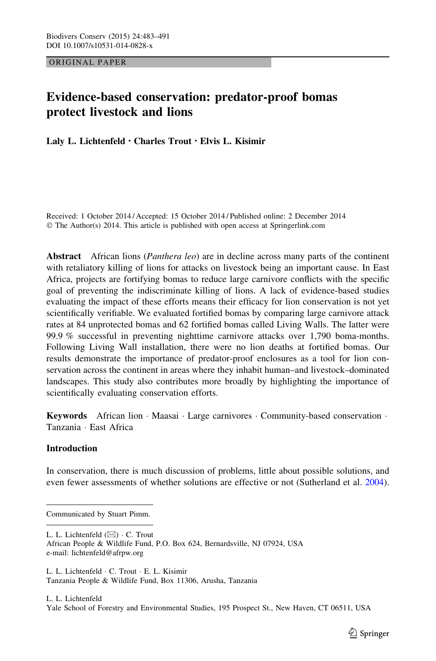ORIGINAL PAPER

# Evidence-based conservation: predator-proof bomas protect livestock and lions

Laly L. Lichtenfeld • Charles Trout • Elvis L. Kisimir

Received: 1 October 2014 / Accepted: 15 October 2014 / Published online: 2 December 2014 © The Author(s) 2014. This article is published with open access at Springerlink.com

Abstract African lions (*Panthera leo*) are in decline across many parts of the continent with retaliatory killing of lions for attacks on livestock being an important cause. In East Africa, projects are fortifying bomas to reduce large carnivore conflicts with the specific goal of preventing the indiscriminate killing of lions. A lack of evidence-based studies evaluating the impact of these efforts means their efficacy for lion conservation is not yet scientifically verifiable. We evaluated fortified bomas by comparing large carnivore attack rates at 84 unprotected bomas and 62 fortified bomas called Living Walls. The latter were 99.9 % successful in preventing nighttime carnivore attacks over 1,790 boma-months. Following Living Wall installation, there were no lion deaths at fortified bomas. Our results demonstrate the importance of predator-proof enclosures as a tool for lion conservation across the continent in areas where they inhabit human–and livestock–dominated landscapes. This study also contributes more broadly by highlighting the importance of scientifically evaluating conservation efforts.

Keywords African lion Maasai Large carnivores Community-based conservation Tanzania - East Africa

## **Introduction**

In conservation, there is much discussion of problems, little about possible solutions, and even fewer assessments of whether solutions are effective or not (Sutherland et al. [2004](#page-8-0)).

Communicated by Stuart Pimm.

L. L. Lichtenfeld - C. Trout - E. L. Kisimir Tanzania People & Wildlife Fund, Box 11306, Arusha, Tanzania

L. L. Lichtenfeld

L. L. Lichtenfeld  $(\boxtimes) \cdot C$ . Trout African People & Wildlife Fund, P.O. Box 624, Bernardsville, NJ 07924, USA e-mail: lichtenfeld@afrpw.org

Yale School of Forestry and Environmental Studies, 195 Prospect St., New Haven, CT 06511, USA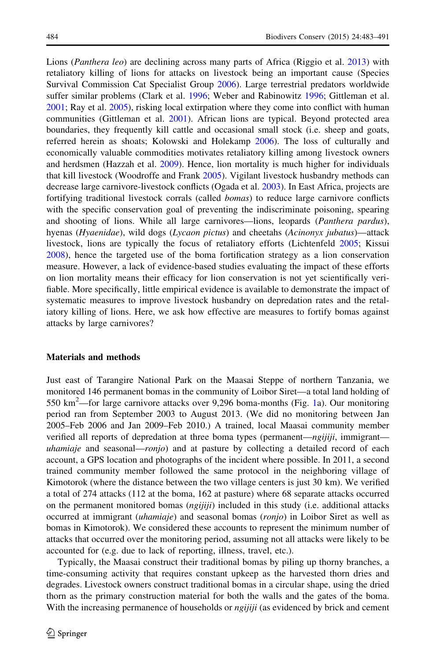Lions (*Panthera leo*) are declining across many parts of Africa (Riggio et al. [2013](#page-8-0)) with retaliatory killing of lions for attacks on livestock being an important cause (Species Survival Commission Cat Specialist Group [2006](#page-8-0)). Large terrestrial predators worldwide suffer similar problems (Clark et al. [1996](#page-8-0); Weber and Rabinowitz [1996](#page-8-0); Gittleman et al. [2001;](#page-8-0) Ray et al. [2005](#page-8-0)), risking local extirpation where they come into conflict with human communities (Gittleman et al. [2001](#page-8-0)). African lions are typical. Beyond protected area boundaries, they frequently kill cattle and occasional small stock (i.e. sheep and goats, referred herein as shoats; Kolowski and Holekamp [2006](#page-8-0)). The loss of culturally and economically valuable commodities motivates retaliatory killing among livestock owners and herdsmen (Hazzah et al. [2009](#page-8-0)). Hence, lion mortality is much higher for individuals that kill livestock (Woodroffe and Frank [2005\)](#page-8-0). Vigilant livestock husbandry methods can decrease large carnivore-livestock conflicts (Ogada et al. [2003](#page-8-0)). In East Africa, projects are fortifying traditional livestock corrals (called *bomas*) to reduce large carnivore conflicts with the specific conservation goal of preventing the indiscriminate poisoning, spearing and shooting of lions. While all large carnivores—lions, leopards (*Panthera pardus*), hyenas (Hyaenidae), wild dogs (Lycaon pictus) and cheetahs (Acinonyx jubatus)—attack livestock, lions are typically the focus of retaliatory efforts (Lichtenfeld [2005](#page-8-0); Kissui [2008\)](#page-8-0), hence the targeted use of the boma fortification strategy as a lion conservation measure. However, a lack of evidence-based studies evaluating the impact of these efforts on lion mortality means their efficacy for lion conservation is not yet scientifically verifiable. More specifically, little empirical evidence is available to demonstrate the impact of systematic measures to improve livestock husbandry on depredation rates and the retaliatory killing of lions. Here, we ask how effective are measures to fortify bomas against attacks by large carnivores?

## Materials and methods

Just east of Tarangire National Park on the Maasai Steppe of northern Tanzania, we monitored 146 permanent bomas in the community of Loibor Siret—a total land holding of 550 km<sup>2</sup> —for large carnivore attacks over 9,296 boma-months (Fig. [1a](#page-2-0)). Our monitoring period ran from September 2003 to August 2013. (We did no monitoring between Jan 2005–Feb 2006 and Jan 2009–Feb 2010.) A trained, local Maasai community member verified all reports of depredation at three boma types (permanent—ngijiji, immigrant uhamiaje and seasonal—*ronjo*) and at pasture by collecting a detailed record of each account, a GPS location and photographs of the incident where possible. In 2011, a second trained community member followed the same protocol in the neighboring village of Kimotorok (where the distance between the two village centers is just 30 km). We verified a total of 274 attacks (112 at the boma, 162 at pasture) where 68 separate attacks occurred on the permanent monitored bomas (ngijiji) included in this study (i.e. additional attacks occurred at immigrant (uhamiaje) and seasonal bomas (ronjo) in Loibor Siret as well as bomas in Kimotorok). We considered these accounts to represent the minimum number of attacks that occurred over the monitoring period, assuming not all attacks were likely to be accounted for (e.g. due to lack of reporting, illness, travel, etc.).

Typically, the Maasai construct their traditional bomas by piling up thorny branches, a time-consuming activity that requires constant upkeep as the harvested thorn dries and degrades. Livestock owners construct traditional bomas in a circular shape, using the dried thorn as the primary construction material for both the walls and the gates of the boma. With the increasing permanence of households or *ngijiji* (as evidenced by brick and cement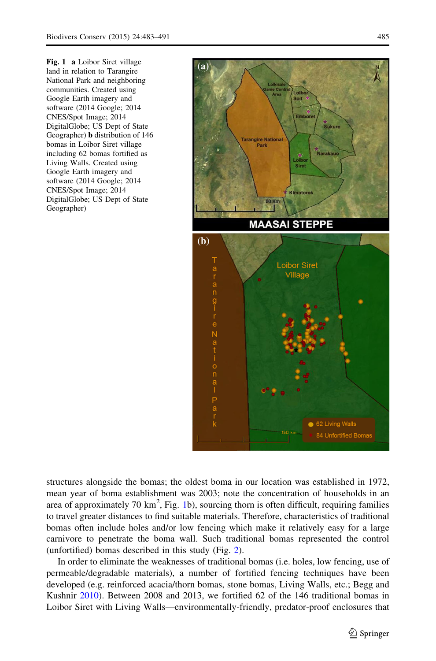<span id="page-2-0"></span>Fig. 1 a Loibor Siret village land in relation to Tarangire National Park and neighboring communities. Created using Google Earth imagery and software (2014 Google; 2014 CNES/Spot Image; 2014 DigitalGlobe; US Dept of State Geographer) b distribution of 146 bomas in Loibor Siret village including 62 bomas fortified as Living Walls. Created using Google Earth imagery and software (2014 Google; 2014 CNES/Spot Image; 2014 DigitalGlobe; US Dept of State Geographer)



structures alongside the bomas; the oldest boma in our location was established in 1972, mean year of boma establishment was 2003; note the concentration of households in an area of approximately 70  $km^2$ , Fig. 1b), sourcing thorn is often difficult, requiring families to travel greater distances to find suitable materials. Therefore, characteristics of traditional bomas often include holes and/or low fencing which make it relatively easy for a large carnivore to penetrate the boma wall. Such traditional bomas represented the control (unfortified) bomas described in this study (Fig. [2\)](#page-3-0).

In order to eliminate the weaknesses of traditional bomas (i.e. holes, low fencing, use of permeable/degradable materials), a number of fortified fencing techniques have been developed (e.g. reinforced acacia/thorn bomas, stone bomas, Living Walls, etc.; Begg and Kushnir [2010\)](#page-8-0). Between 2008 and 2013, we fortified 62 of the 146 traditional bomas in Loibor Siret with Living Walls—environmentally-friendly, predator-proof enclosures that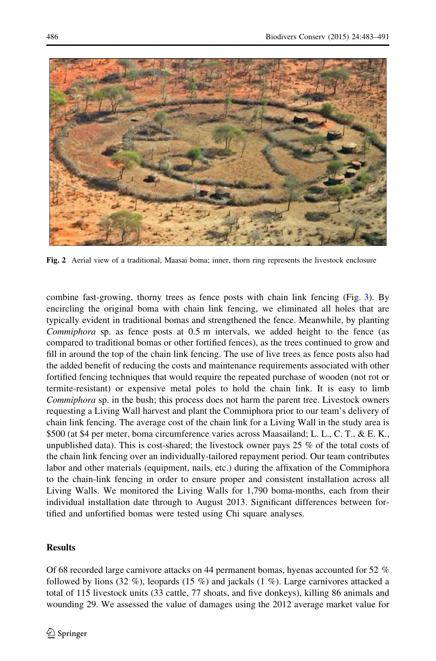<span id="page-3-0"></span>

Fig. 2 Aerial view of a traditional, Maasai boma; inner, thorn ring represents the livestock enclosure

combine fast-growing, thorny trees as fence posts with chain link fencing (Fig. [3](#page-4-0)). By encircling the original boma with chain link fencing, we eliminated all holes that are typically evident in traditional bomas and strengthened the fence. Meanwhile, by planting Commiphora sp. as fence posts at  $0.5$  m intervals, we added height to the fence (as compared to traditional bomas or other fortified fences), as the trees continued to grow and fill in around the top of the chain link fencing. The use of live trees as fence posts also had the added benefit of reducing the costs and maintenance requirements associated with other fortified fencing techniques that would require the repeated purchase of wooden (not rot or termite-resistant) or expensive metal poles to hold the chain link. It is easy to limb Commiphora sp. in the bush; this process does not harm the parent tree. Livestock owners requesting a Living Wall harvest and plant the Commiphora prior to our team's delivery of chain link fencing. The average cost of the chain link for a Living Wall in the study area is \$500 (at \$4 per meter, boma circumference varies across Maasailand; L. L., C. T., & E. K., unpublished data). This is cost-shared; the livestock owner pays 25  $\%$  of the total costs of the chain link fencing over an individually-tailored repayment period. Our team contributes labor and other materials (equipment, nails, etc.) during the affixation of the Commiphora to the chain-link fencing in order to ensure proper and consistent installation across all Living Walls. We monitored the Living Walls for 1,790 boma-months, each from their individual installation date through to August 2013. Significant differences between fortified and unfortified bomas were tested using Chi square analyses.

## Results

Of 68 recorded large carnivore attacks on 44 permanent bomas, hyenas accounted for 52 % followed by lions  $(32 \%)$ , leopards  $(15 \%)$  and jackals  $(1 \%)$ . Large carnivores attacked a total of 115 livestock units (33 cattle, 77 shoats, and five donkeys), killing 86 animals and wounding 29. We assessed the value of damages using the 2012 average market value for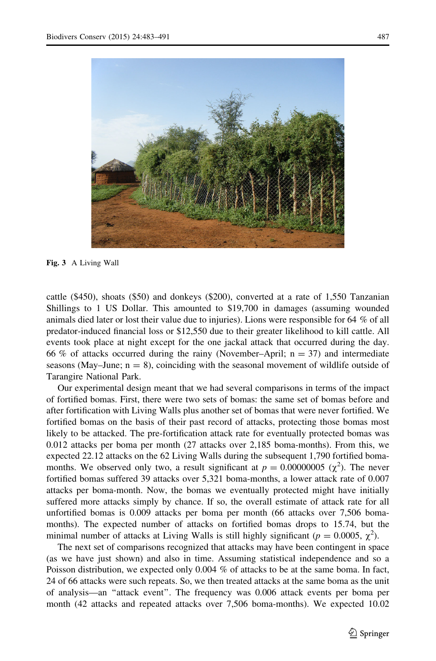<span id="page-4-0"></span>

Fig. 3 A Living Wall

cattle (\$450), shoats (\$50) and donkeys (\$200), converted at a rate of 1,550 Tanzanian Shillings to 1 US Dollar. This amounted to \$19,700 in damages (assuming wounded animals died later or lost their value due to injuries). Lions were responsible for 64 % of all predator-induced financial loss or \$12,550 due to their greater likelihood to kill cattle. All events took place at night except for the one jackal attack that occurred during the day. 66 % of attacks occurred during the rainy (November–April;  $n = 37$ ) and intermediate seasons (May–June;  $n = 8$ ), coinciding with the seasonal movement of wildlife outside of Tarangire National Park.

Our experimental design meant that we had several comparisons in terms of the impact of fortified bomas. First, there were two sets of bomas: the same set of bomas before and after fortification with Living Walls plus another set of bomas that were never fortified. We fortified bomas on the basis of their past record of attacks, protecting those bomas most likely to be attacked. The pre-fortification attack rate for eventually protected bomas was 0.012 attacks per boma per month (27 attacks over 2,185 boma-months). From this, we expected 22.12 attacks on the 62 Living Walls during the subsequent 1,790 fortified bomamonths. We observed only two, a result significant at  $p = 0.00000005$  ( $\chi^2$ ). The never fortified bomas suffered 39 attacks over 5,321 boma-months, a lower attack rate of 0.007 attacks per boma-month. Now, the bomas we eventually protected might have initially suffered more attacks simply by chance. If so, the overall estimate of attack rate for all unfortified bomas is 0.009 attacks per boma per month (66 attacks over 7,506 bomamonths). The expected number of attacks on fortified bomas drops to 15.74, but the minimal number of attacks at Living Walls is still highly significant ( $p = 0.0005$ ,  $\chi^2$ ).

The next set of comparisons recognized that attacks may have been contingent in space (as we have just shown) and also in time. Assuming statistical independence and so a Poisson distribution, we expected only 0.004 % of attacks to be at the same boma. In fact, 24 of 66 attacks were such repeats. So, we then treated attacks at the same boma as the unit of analysis—an ''attack event''. The frequency was 0.006 attack events per boma per month (42 attacks and repeated attacks over 7,506 boma-months). We expected 10.02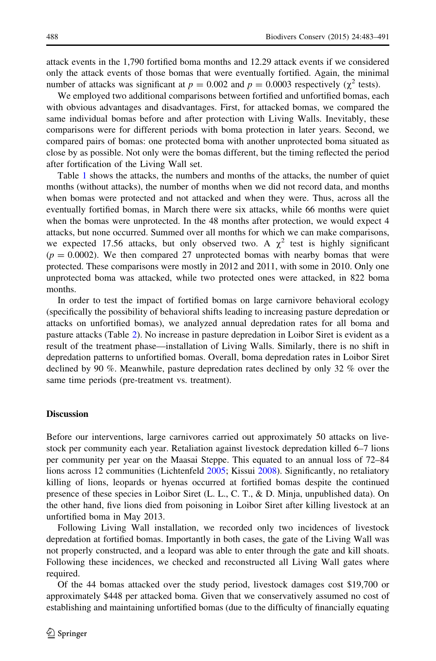attack events in the 1,790 fortified boma months and 12.29 attack events if we considered only the attack events of those bomas that were eventually fortified. Again, the minimal number of attacks was significant at  $p = 0.002$  and  $p = 0.0003$  respectively ( $\chi^2$  tests).

We employed two additional comparisons between fortified and unfortified bomas, each with obvious advantages and disadvantages. First, for attacked bomas, we compared the same individual bomas before and after protection with Living Walls. Inevitably, these comparisons were for different periods with boma protection in later years. Second, we compared pairs of bomas: one protected boma with another unprotected boma situated as close by as possible. Not only were the bomas different, but the timing reflected the period after fortification of the Living Wall set.

Table [1](#page-6-0) shows the attacks, the numbers and months of the attacks, the number of quiet months (without attacks), the number of months when we did not record data, and months when bomas were protected and not attacked and when they were. Thus, across all the eventually fortified bomas, in March there were six attacks, while 66 months were quiet when the bomas were unprotected. In the 48 months after protection, we would expect 4 attacks, but none occurred. Summed over all months for which we can make comparisons, we expected 17.56 attacks, but only observed two. A  $\chi^2$  test is highly significant  $(p = 0.0002)$ . We then compared 27 unprotected bomas with nearby bomas that were protected. These comparisons were mostly in 2012 and 2011, with some in 2010. Only one unprotected boma was attacked, while two protected ones were attacked, in 822 boma months.

In order to test the impact of fortified bomas on large carnivore behavioral ecology (specifically the possibility of behavioral shifts leading to increasing pasture depredation or attacks on unfortified bomas), we analyzed annual depredation rates for all boma and pasture attacks (Table [2](#page-6-0)). No increase in pasture depredation in Loibor Siret is evident as a result of the treatment phase—installation of Living Walls. Similarly, there is no shift in depredation patterns to unfortified bomas. Overall, boma depredation rates in Loibor Siret declined by 90 %. Meanwhile, pasture depredation rates declined by only 32 % over the same time periods (pre-treatment vs. treatment).

## **Discussion**

Before our interventions, large carnivores carried out approximately 50 attacks on livestock per community each year. Retaliation against livestock depredation killed 6–7 lions per community per year on the Maasai Steppe. This equated to an annual loss of 72–84 lions across 12 communities (Lichtenfeld [2005;](#page-8-0) Kissui [2008](#page-8-0)). Significantly, no retaliatory killing of lions, leopards or hyenas occurred at fortified bomas despite the continued presence of these species in Loibor Siret (L. L., C. T., & D. Minja, unpublished data). On the other hand, five lions died from poisoning in Loibor Siret after killing livestock at an unfortified boma in May 2013.

Following Living Wall installation, we recorded only two incidences of livestock depredation at fortified bomas. Importantly in both cases, the gate of the Living Wall was not properly constructed, and a leopard was able to enter through the gate and kill shoats. Following these incidences, we checked and reconstructed all Living Wall gates where required.

Of the 44 bomas attacked over the study period, livestock damages cost \$19,700 or approximately \$448 per attacked boma. Given that we conservatively assumed no cost of establishing and maintaining unfortified bomas (due to the difficulty of financially equating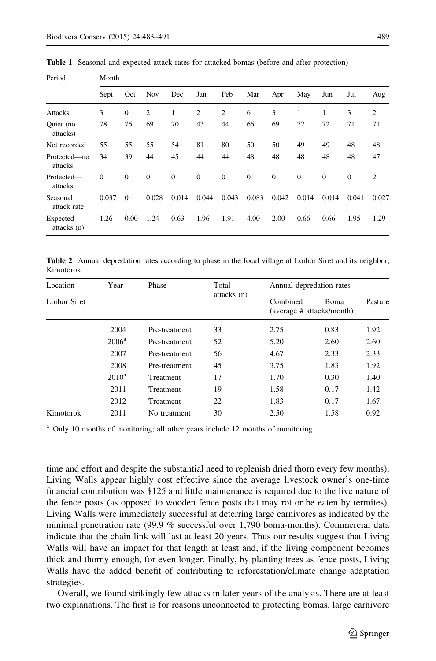|  | ı |  |
|--|---|--|
|  |   |  |

| Period                  | Month        |              |                  |              |                |                |                  |              |                |                |              |                |
|-------------------------|--------------|--------------|------------------|--------------|----------------|----------------|------------------|--------------|----------------|----------------|--------------|----------------|
|                         | Sept         | Oct          | Nov              | Dec          | Jan            | Feb            | Mar              | Apr          | May            | Jun            | Jul          | Aug            |
| Attacks                 | 3            | $\mathbf{0}$ | $\overline{2}$   | 1            | $\overline{c}$ | $\overline{c}$ | 6                | 3            | 1              | 1              | 3            | $\overline{2}$ |
| Quiet (no<br>attacks)   | 78           | 76           | 69               | 70           | 43             | 44             | 66               | 69           | 72             | 72             | 71           | 71             |
| Not recorded            | 55           | 55           | 55               | 54           | 81             | 80             | 50               | 50           | 49             | 49             | 48           | 48             |
| Protected—no<br>attacks | 34           | 39           | 44               | 45           | 44             | 44             | 48               | 48           | 48             | 48             | 48           | 47             |
| Protected-<br>attacks   | $\mathbf{0}$ | $\mathbf{0}$ | $\boldsymbol{0}$ | $\mathbf{0}$ | $\mathbf{0}$   | $\mathbf{0}$   | $\boldsymbol{0}$ | $\mathbf{0}$ | $\overline{0}$ | $\overline{0}$ | $\mathbf{0}$ | $\overline{2}$ |
| Seasonal<br>attack rate | 0.037        | $\Omega$     | 0.028            | 0.014        | 0.044          | 0.043          | 0.083            | 0.042        | 0.014          | 0.014          | 0.041        | 0.027          |
| Expected<br>attacks (n) | 1.26         | 0.00         | 1.24             | 0.63         | 1.96           | 1.91           | 4.00             | 2.00         | 0.66           | 0.66           | 1.95         | 1.29           |

<span id="page-6-0"></span>Table 1 Seasonal and expected attack rates for attacked bomas (before and after protection)

Table 2 Annual depredation rates according to phase in the focal village of Loibor Siret and its neighbor, Kimotorok

| Location     | Year     | Phase            | Total       | Annual depredation rates |                                                  |         |
|--------------|----------|------------------|-------------|--------------------------|--------------------------------------------------|---------|
| Loibor Siret |          |                  | attacks (n) | Combined                 | <b>Boma</b><br>(average # attacks/month)<br>0.83 | Pasture |
|              | 2004     | Pre-treatment    | 33          | 2.75                     |                                                  | 1.92    |
|              | $2006^a$ | Pre-treatment    | 52          | 5.20                     | 2.60                                             | 2.60    |
|              | 2007     | Pre-treatment    | 56          | 4.67                     | 2.33                                             | 2.33    |
|              | 2008     | Pre-treatment    | 45          | 3.75                     | 1.83                                             | 1.92    |
|              | $2010^a$ | <b>Treatment</b> | 17          | 1.70                     | 0.30                                             | 1.40    |
|              | 2011     | <b>Treatment</b> | 19          | 1.58                     | 0.17                                             | 1.42    |
|              | 2012     | <b>Treatment</b> | 22          | 1.83                     | 0.17                                             | 1.67    |
| Kimotorok    | 2011     | No treatment     | 30          | 2.50                     | 1.58                                             | 0.92    |

<sup>a</sup> Only 10 months of monitoring; all other years include 12 months of monitoring

time and effort and despite the substantial need to replenish dried thorn every few months), Living Walls appear highly cost effective since the average livestock owner's one-time financial contribution was \$125 and little maintenance is required due to the live nature of the fence posts (as opposed to wooden fence posts that may rot or be eaten by termites). Living Walls were immediately successful at deterring large carnivores as indicated by the minimal penetration rate (99.9 % successful over 1,790 boma-months). Commercial data indicate that the chain link will last at least 20 years. Thus our results suggest that Living Walls will have an impact for that length at least and, if the living component becomes thick and thorny enough, for even longer. Finally, by planting trees as fence posts, Living Walls have the added benefit of contributing to reforestation/climate change adaptation strategies.

Overall, we found strikingly few attacks in later years of the analysis. There are at least two explanations. The first is for reasons unconnected to protecting bomas, large carnivore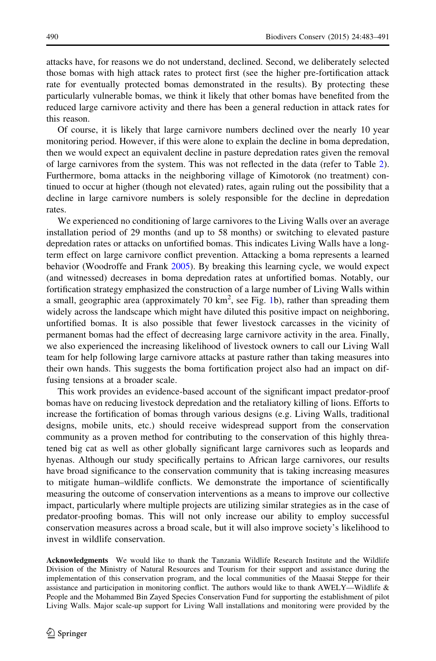attacks have, for reasons we do not understand, declined. Second, we deliberately selected those bomas with high attack rates to protect first (see the higher pre-fortification attack rate for eventually protected bomas demonstrated in the results). By protecting these particularly vulnerable bomas, we think it likely that other bomas have benefited from the reduced large carnivore activity and there has been a general reduction in attack rates for this reason.

Of course, it is likely that large carnivore numbers declined over the nearly 10 year monitoring period. However, if this were alone to explain the decline in boma depredation, then we would expect an equivalent decline in pasture depredation rates given the removal of large carnivores from the system. This was not reflected in the data (refer to Table [2](#page-6-0)). Furthermore, boma attacks in the neighboring village of Kimotorok (no treatment) continued to occur at higher (though not elevated) rates, again ruling out the possibility that a decline in large carnivore numbers is solely responsible for the decline in depredation rates.

We experienced no conditioning of large carnivores to the Living Walls over an average installation period of 29 months (and up to 58 months) or switching to elevated pasture depredation rates or attacks on unfortified bomas. This indicates Living Walls have a longterm effect on large carnivore conflict prevention. Attacking a boma represents a learned behavior (Woodroffe and Frank [2005\)](#page-8-0). By breaking this learning cycle, we would expect (and witnessed) decreases in boma depredation rates at unfortified bomas. Notably, our fortification strategy emphasized the construction of a large number of Living Walls within a small, geographic area (approximately  $70 \text{ km}^2$ , see Fig. [1](#page-2-0)b), rather than spreading them widely across the landscape which might have diluted this positive impact on neighboring, unfortified bomas. It is also possible that fewer livestock carcasses in the vicinity of permanent bomas had the effect of decreasing large carnivore activity in the area. Finally, we also experienced the increasing likelihood of livestock owners to call our Living Wall team for help following large carnivore attacks at pasture rather than taking measures into their own hands. This suggests the boma fortification project also had an impact on diffusing tensions at a broader scale.

This work provides an evidence-based account of the significant impact predator-proof bomas have on reducing livestock depredation and the retaliatory killing of lions. Efforts to increase the fortification of bomas through various designs (e.g. Living Walls, traditional designs, mobile units, etc.) should receive widespread support from the conservation community as a proven method for contributing to the conservation of this highly threatened big cat as well as other globally significant large carnivores such as leopards and hyenas. Although our study specifically pertains to African large carnivores, our results have broad significance to the conservation community that is taking increasing measures to mitigate human–wildlife conflicts. We demonstrate the importance of scientifically measuring the outcome of conservation interventions as a means to improve our collective impact, particularly where multiple projects are utilizing similar strategies as in the case of predator-proofing bomas. This will not only increase our ability to employ successful conservation measures across a broad scale, but it will also improve society's likelihood to invest in wildlife conservation.

Acknowledgments We would like to thank the Tanzania Wildlife Research Institute and the Wildlife Division of the Ministry of Natural Resources and Tourism for their support and assistance during the implementation of this conservation program, and the local communities of the Maasai Steppe for their assistance and participation in monitoring conflict. The authors would like to thank AWELY—Wildlife & People and the Mohammed Bin Zayed Species Conservation Fund for supporting the establishment of pilot Living Walls. Major scale-up support for Living Wall installations and monitoring were provided by the